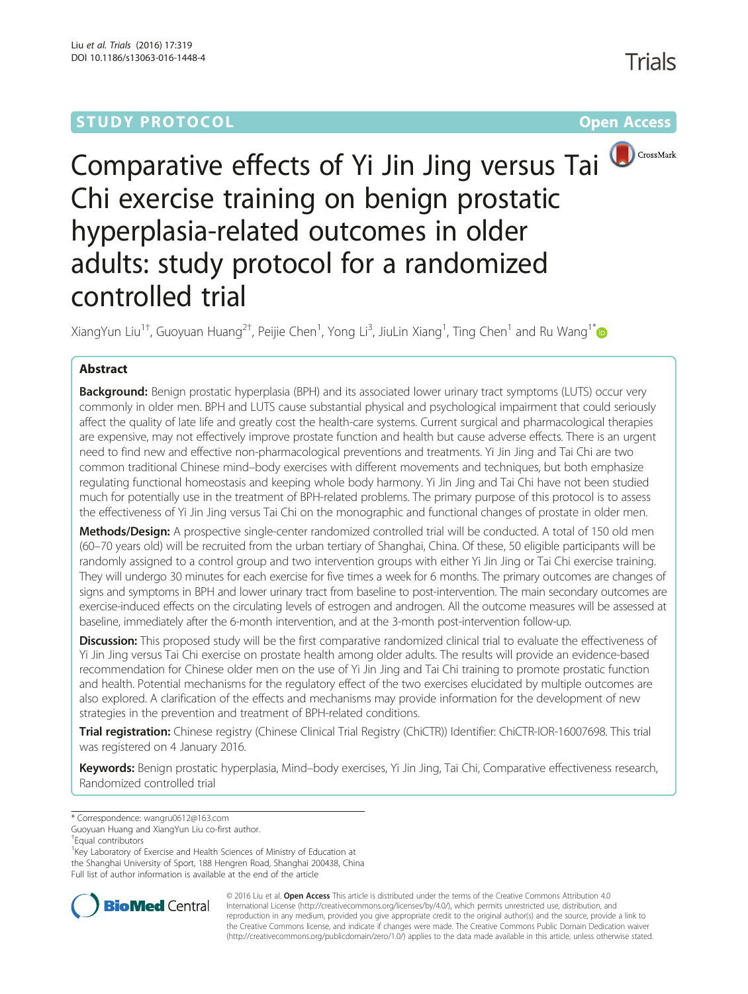# **STUDY PROTOCOL CONSUMING THE CONSUMING OPEN ACCESS**

Trials



Comparative effects of Yi Jin Jing versus Tai Chi exercise training on benign prostatic hyperplasia-related outcomes in older adults: study protocol for a randomized controlled trial

XiangYun Liu<sup>1†</sup>, Guoyuan Huang<sup>2†</sup>, Peijie Chen<sup>1</sup>, Yong Li<sup>3</sup>, JiuLin Xiang<sup>1</sup>, Ting Chen<sup>1</sup> and Ru Wang<sup>1\*</sup>

## Abstract

Background: Benign prostatic hyperplasia (BPH) and its associated lower urinary tract symptoms (LUTS) occur very commonly in older men. BPH and LUTS cause substantial physical and psychological impairment that could seriously affect the quality of late life and greatly cost the health-care systems. Current surgical and pharmacological therapies are expensive, may not effectively improve prostate function and health but cause adverse effects. There is an urgent need to find new and effective non-pharmacological preventions and treatments. Yi Jin Jing and Tai Chi are two common traditional Chinese mind–body exercises with different movements and techniques, but both emphasize regulating functional homeostasis and keeping whole body harmony. Yi Jin Jing and Tai Chi have not been studied much for potentially use in the treatment of BPH-related problems. The primary purpose of this protocol is to assess the effectiveness of Yi Jin Jing versus Tai Chi on the monographic and functional changes of prostate in older men.

Methods/Design: A prospective single-center randomized controlled trial will be conducted. A total of 150 old men (60–70 years old) will be recruited from the urban tertiary of Shanghai, China. Of these, 50 eligible participants will be randomly assigned to a control group and two intervention groups with either Yi Jin Jing or Tai Chi exercise training. They will undergo 30 minutes for each exercise for five times a week for 6 months. The primary outcomes are changes of signs and symptoms in BPH and lower urinary tract from baseline to post-intervention. The main secondary outcomes are exercise-induced effects on the circulating levels of estrogen and androgen. All the outcome measures will be assessed at baseline, immediately after the 6-month intervention, and at the 3-month post-intervention follow-up.

Discussion: This proposed study will be the first comparative randomized clinical trial to evaluate the effectiveness of Yi Jin Jing versus Tai Chi exercise on prostate health among older adults. The results will provide an evidence-based recommendation for Chinese older men on the use of Yi Jin Jing and Tai Chi training to promote prostatic function and health. Potential mechanisms for the regulatory effect of the two exercises elucidated by multiple outcomes are also explored. A clarification of the effects and mechanisms may provide information for the development of new strategies in the prevention and treatment of BPH-related conditions.

Trial registration: Chinese registry (Chinese Clinical Trial Registry (ChiCTR)) Identifier: [ChiCTR-IOR-16007698](http://www.chictr.org.cn/showprojen.aspx?proj=12814). This trial was registered on 4 January 2016.

Keywords: Benign prostatic hyperplasia, Mind-body exercises, Yi Jin Jing, Tai Chi, Comparative effectiveness research, Randomized controlled trial

<sup>1</sup> Key Laboratory of Exercise and Health Sciences of Ministry of Education at the Shanghai University of Sport, 188 Hengren Road, Shanghai 200438, China Full list of author information is available at the end of the article



© 2016 Liu et al. Open Access This article is distributed under the terms of the Creative Commons Attribution 4.0 International License [\(http://creativecommons.org/licenses/by/4.0/](http://creativecommons.org/licenses/by/4.0/)), which permits unrestricted use, distribution, and reproduction in any medium, provided you give appropriate credit to the original author(s) and the source, provide a link to the Creative Commons license, and indicate if changes were made. The Creative Commons Public Domain Dedication waiver [\(http://creativecommons.org/publicdomain/zero/1.0/](http://creativecommons.org/publicdomain/zero/1.0/)) applies to the data made available in this article, unless otherwise stated.

<sup>\*</sup> Correspondence: [wangru0612@163.com](mailto:wangru0612@163.com)

Guoyuan Huang and XiangYun Liu co-first author.

<sup>†</sup> Equal contributors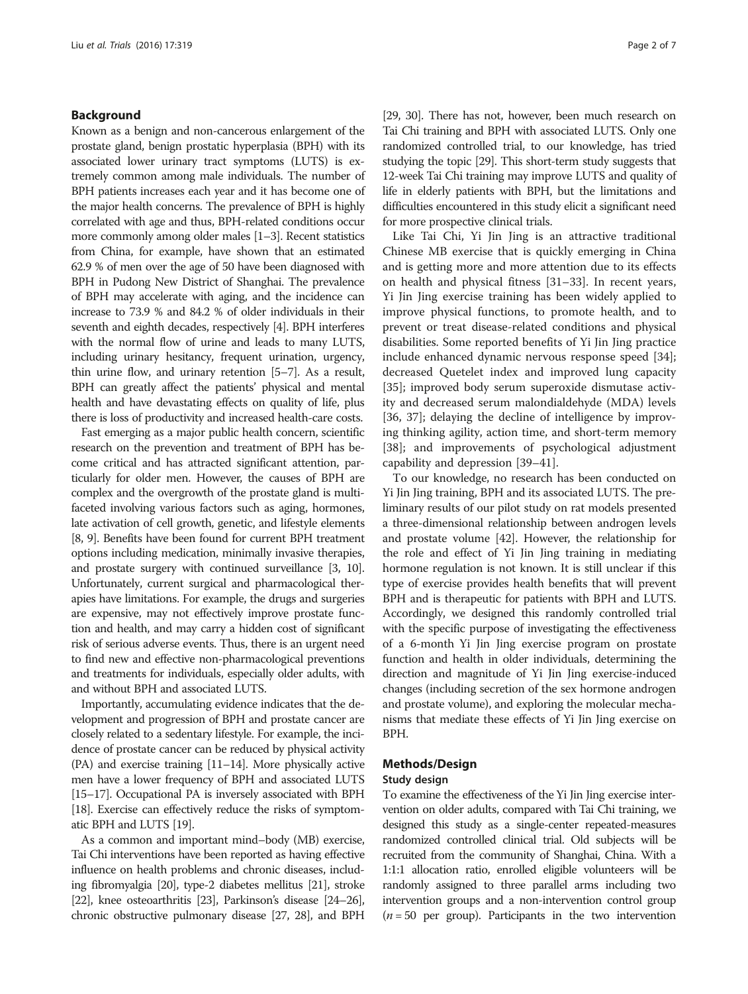## Background

Known as a benign and non-cancerous enlargement of the prostate gland, benign prostatic hyperplasia (BPH) with its associated lower urinary tract symptoms (LUTS) is extremely common among male individuals. The number of BPH patients increases each year and it has become one of the major health concerns. The prevalence of BPH is highly correlated with age and thus, BPH-related conditions occur more commonly among older males [\[1](#page-5-0)–[3](#page-5-0)]. Recent statistics from China, for example, have shown that an estimated 62.9 % of men over the age of 50 have been diagnosed with BPH in Pudong New District of Shanghai. The prevalence of BPH may accelerate with aging, and the incidence can increase to 73.9 % and 84.2 % of older individuals in their seventh and eighth decades, respectively [\[4\]](#page-5-0). BPH interferes with the normal flow of urine and leads to many LUTS, including urinary hesitancy, frequent urination, urgency, thin urine flow, and urinary retention [[5](#page-5-0)–[7\]](#page-5-0). As a result, BPH can greatly affect the patients' physical and mental health and have devastating effects on quality of life, plus there is loss of productivity and increased health-care costs.

Fast emerging as a major public health concern, scientific research on the prevention and treatment of BPH has become critical and has attracted significant attention, particularly for older men. However, the causes of BPH are complex and the overgrowth of the prostate gland is multifaceted involving various factors such as aging, hormones, late activation of cell growth, genetic, and lifestyle elements [[8](#page-5-0), [9](#page-5-0)]. Benefits have been found for current BPH treatment options including medication, minimally invasive therapies, and prostate surgery with continued surveillance [[3](#page-5-0), [10](#page-5-0)]. Unfortunately, current surgical and pharmacological therapies have limitations. For example, the drugs and surgeries are expensive, may not effectively improve prostate function and health, and may carry a hidden cost of significant risk of serious adverse events. Thus, there is an urgent need to find new and effective non-pharmacological preventions and treatments for individuals, especially older adults, with and without BPH and associated LUTS.

Importantly, accumulating evidence indicates that the development and progression of BPH and prostate cancer are closely related to a sedentary lifestyle. For example, the incidence of prostate cancer can be reduced by physical activity (PA) and exercise training [\[11](#page-5-0)–[14\]](#page-6-0). More physically active men have a lower frequency of BPH and associated LUTS [[15](#page-6-0)–[17](#page-6-0)]. Occupational PA is inversely associated with BPH [[18](#page-6-0)]. Exercise can effectively reduce the risks of symptomatic BPH and LUTS [\[19\]](#page-6-0).

As a common and important mind–body (MB) exercise, Tai Chi interventions have been reported as having effective influence on health problems and chronic diseases, including fibromyalgia [\[20](#page-6-0)], type-2 diabetes mellitus [\[21\]](#page-6-0), stroke [[22](#page-6-0)], knee osteoarthritis [\[23\]](#page-6-0), Parkinson's disease [[24](#page-6-0)–[26](#page-6-0)], chronic obstructive pulmonary disease [\[27, 28](#page-6-0)], and BPH

[[29](#page-6-0), [30](#page-6-0)]. There has not, however, been much research on Tai Chi training and BPH with associated LUTS. Only one randomized controlled trial, to our knowledge, has tried studying the topic [\[29\]](#page-6-0). This short-term study suggests that 12-week Tai Chi training may improve LUTS and quality of life in elderly patients with BPH, but the limitations and difficulties encountered in this study elicit a significant need for more prospective clinical trials.

Like Tai Chi, Yi Jin Jing is an attractive traditional Chinese MB exercise that is quickly emerging in China and is getting more and more attention due to its effects on health and physical fitness [[31](#page-6-0)–[33\]](#page-6-0). In recent years, Yi Jin Jing exercise training has been widely applied to improve physical functions, to promote health, and to prevent or treat disease-related conditions and physical disabilities. Some reported benefits of Yi Jin Jing practice include enhanced dynamic nervous response speed [\[34](#page-6-0)]; decreased Quetelet index and improved lung capacity [[35\]](#page-6-0); improved body serum superoxide dismutase activity and decreased serum malondialdehyde (MDA) levels [[36, 37\]](#page-6-0); delaying the decline of intelligence by improving thinking agility, action time, and short-term memory [[38\]](#page-6-0); and improvements of psychological adjustment capability and depression [\[39](#page-6-0)–[41\]](#page-6-0).

To our knowledge, no research has been conducted on Yi Jin Jing training, BPH and its associated LUTS. The preliminary results of our pilot study on rat models presented a three-dimensional relationship between androgen levels and prostate volume [[42](#page-6-0)]. However, the relationship for the role and effect of Yi Jin Jing training in mediating hormone regulation is not known. It is still unclear if this type of exercise provides health benefits that will prevent BPH and is therapeutic for patients with BPH and LUTS. Accordingly, we designed this randomly controlled trial with the specific purpose of investigating the effectiveness of a 6-month Yi Jin Jing exercise program on prostate function and health in older individuals, determining the direction and magnitude of Yi Jin Jing exercise-induced changes (including secretion of the sex hormone androgen and prostate volume), and exploring the molecular mechanisms that mediate these effects of Yi Jin Jing exercise on BPH.

## Methods/Design

## Study design

To examine the effectiveness of the Yi Jin Jing exercise intervention on older adults, compared with Tai Chi training, we designed this study as a single-center repeated-measures randomized controlled clinical trial. Old subjects will be recruited from the community of Shanghai, China. With a 1:1:1 allocation ratio, enrolled eligible volunteers will be randomly assigned to three parallel arms including two intervention groups and a non-intervention control group  $(n = 50$  per group). Participants in the two intervention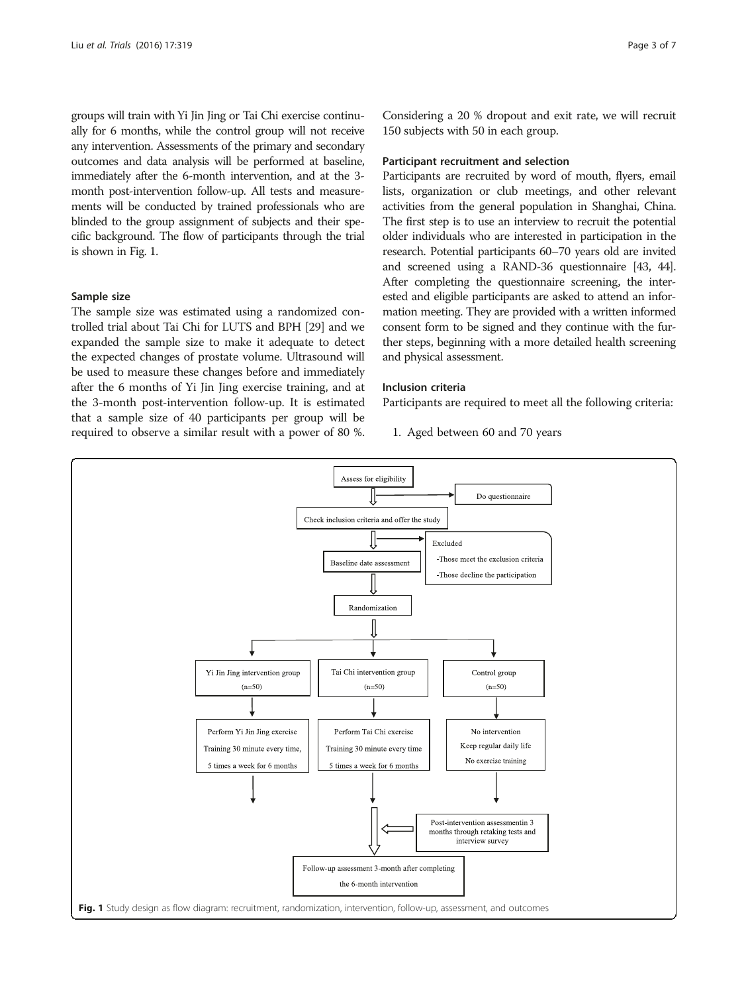groups will train with Yi Jin Jing or Tai Chi exercise continually for 6 months, while the control group will not receive any intervention. Assessments of the primary and secondary outcomes and data analysis will be performed at baseline, immediately after the 6-month intervention, and at the 3 month post-intervention follow-up. All tests and measurements will be conducted by trained professionals who are blinded to the group assignment of subjects and their specific background. The flow of participants through the trial is shown in Fig. 1.

## Sample size

The sample size was estimated using a randomized controlled trial about Tai Chi for LUTS and BPH [\[29\]](#page-6-0) and we expanded the sample size to make it adequate to detect the expected changes of prostate volume. Ultrasound will be used to measure these changes before and immediately after the 6 months of Yi Jin Jing exercise training, and at the 3-month post-intervention follow-up. It is estimated that a sample size of 40 participants per group will be required to observe a similar result with a power of 80 %. Considering a 20 % dropout and exit rate, we will recruit 150 subjects with 50 in each group.

#### Participant recruitment and selection

Participants are recruited by word of mouth, flyers, email lists, organization or club meetings, and other relevant activities from the general population in Shanghai, China. The first step is to use an interview to recruit the potential older individuals who are interested in participation in the research. Potential participants 60–70 years old are invited and screened using a RAND-36 questionnaire [\[43, 44](#page-6-0)]. After completing the questionnaire screening, the interested and eligible participants are asked to attend an information meeting. They are provided with a written informed consent form to be signed and they continue with the further steps, beginning with a more detailed health screening and physical assessment.

### Inclusion criteria

Participants are required to meet all the following criteria:

1. Aged between 60 and 70 years

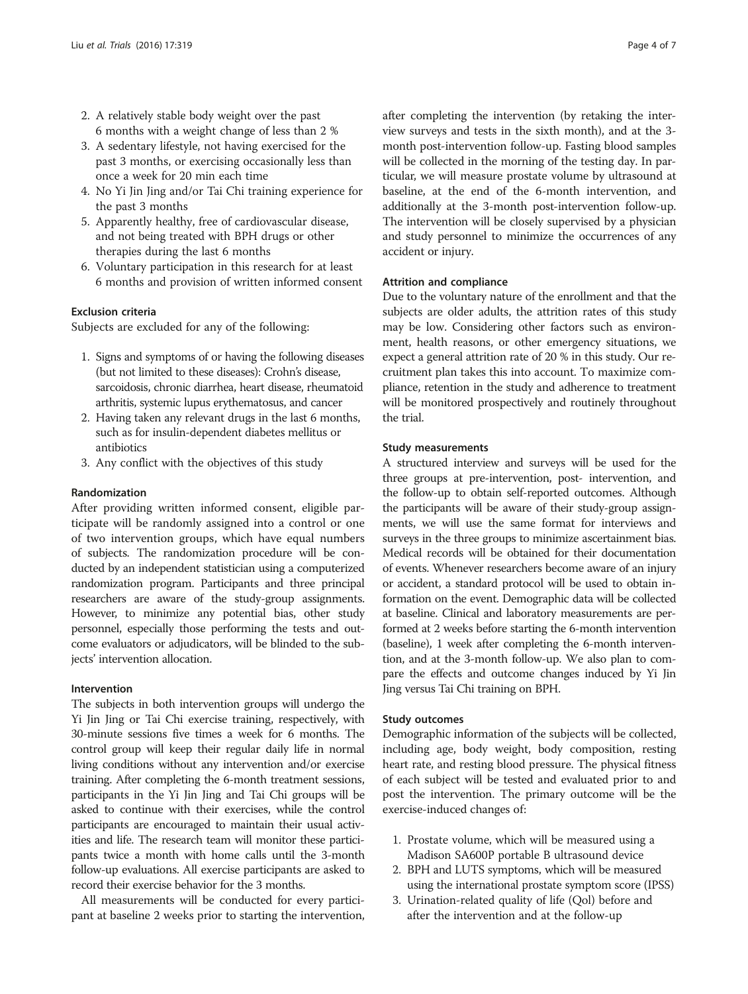- 2. A relatively stable body weight over the past 6 months with a weight change of less than 2 %
- 3. A sedentary lifestyle, not having exercised for the past 3 months, or exercising occasionally less than once a week for 20 min each time
- 4. No Yi Jin Jing and/or Tai Chi training experience for the past 3 months
- 5. Apparently healthy, free of cardiovascular disease, and not being treated with BPH drugs or other therapies during the last 6 months
- 6. Voluntary participation in this research for at least 6 months and provision of written informed consent

## Exclusion criteria

Subjects are excluded for any of the following:

- 1. Signs and symptoms of or having the following diseases (but not limited to these diseases): Crohn's disease, sarcoidosis, chronic diarrhea, heart disease, rheumatoid arthritis, systemic lupus erythematosus, and cancer
- 2. Having taken any relevant drugs in the last 6 months, such as for insulin-dependent diabetes mellitus or antibiotics
- 3. Any conflict with the objectives of this study

## Randomization

After providing written informed consent, eligible participate will be randomly assigned into a control or one of two intervention groups, which have equal numbers of subjects. The randomization procedure will be conducted by an independent statistician using a computerized randomization program. Participants and three principal researchers are aware of the study-group assignments. However, to minimize any potential bias, other study personnel, especially those performing the tests and outcome evaluators or adjudicators, will be blinded to the subjects' intervention allocation.

## Intervention

The subjects in both intervention groups will undergo the Yi Jin Jing or Tai Chi exercise training, respectively, with 30-minute sessions five times a week for 6 months. The control group will keep their regular daily life in normal living conditions without any intervention and/or exercise training. After completing the 6-month treatment sessions, participants in the Yi Jin Jing and Tai Chi groups will be asked to continue with their exercises, while the control participants are encouraged to maintain their usual activities and life. The research team will monitor these participants twice a month with home calls until the 3-month follow-up evaluations. All exercise participants are asked to record their exercise behavior for the 3 months.

All measurements will be conducted for every participant at baseline 2 weeks prior to starting the intervention, after completing the intervention (by retaking the interview surveys and tests in the sixth month), and at the 3 month post-intervention follow-up. Fasting blood samples will be collected in the morning of the testing day. In particular, we will measure prostate volume by ultrasound at baseline, at the end of the 6-month intervention, and additionally at the 3-month post-intervention follow-up. The intervention will be closely supervised by a physician and study personnel to minimize the occurrences of any accident or injury.

## Attrition and compliance

Due to the voluntary nature of the enrollment and that the subjects are older adults, the attrition rates of this study may be low. Considering other factors such as environment, health reasons, or other emergency situations, we expect a general attrition rate of 20 % in this study. Our recruitment plan takes this into account. To maximize compliance, retention in the study and adherence to treatment will be monitored prospectively and routinely throughout the trial.

## Study measurements

A structured interview and surveys will be used for the three groups at pre-intervention, post- intervention, and the follow-up to obtain self-reported outcomes. Although the participants will be aware of their study-group assignments, we will use the same format for interviews and surveys in the three groups to minimize ascertainment bias. Medical records will be obtained for their documentation of events. Whenever researchers become aware of an injury or accident, a standard protocol will be used to obtain information on the event. Demographic data will be collected at baseline. Clinical and laboratory measurements are performed at 2 weeks before starting the 6-month intervention (baseline), 1 week after completing the 6-month intervention, and at the 3-month follow-up. We also plan to compare the effects and outcome changes induced by Yi Jin Jing versus Tai Chi training on BPH.

## Study outcomes

Demographic information of the subjects will be collected, including age, body weight, body composition, resting heart rate, and resting blood pressure. The physical fitness of each subject will be tested and evaluated prior to and post the intervention. The primary outcome will be the exercise-induced changes of:

- 1. Prostate volume, which will be measured using a Madison SA600P portable B ultrasound device
- 2. BPH and LUTS symptoms, which will be measured using the international prostate symptom score (IPSS)
- 3. Urination-related quality of life (Qol) before and after the intervention and at the follow-up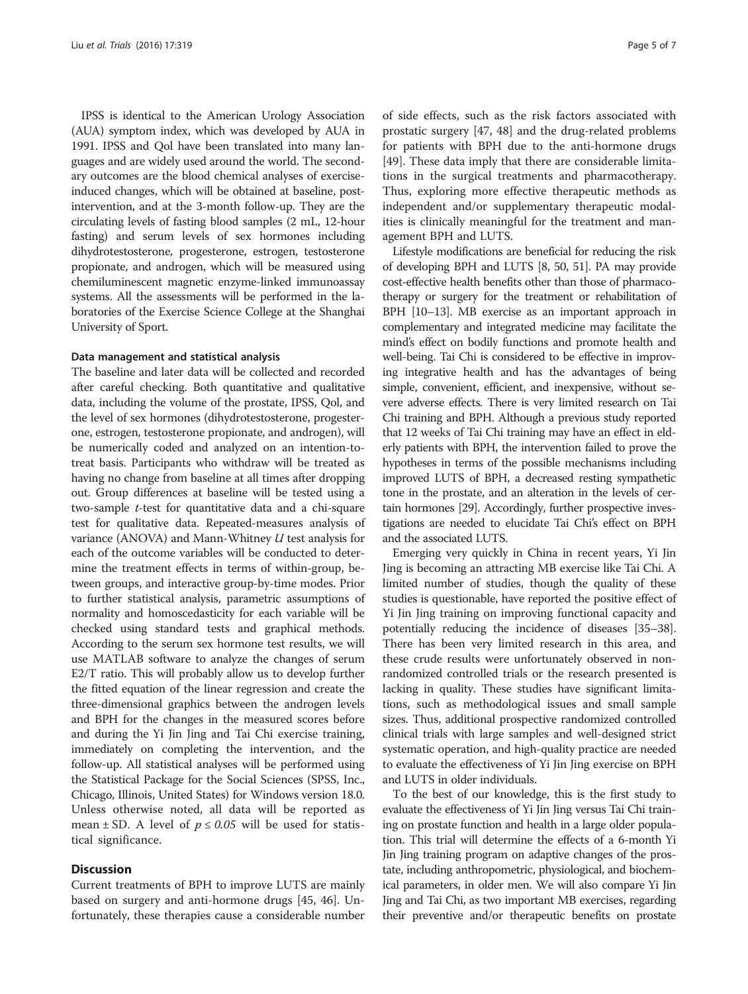IPSS is identical to the American Urology Association (AUA) symptom index, which was developed by AUA in 1991. IPSS and Qol have been translated into many languages and are widely used around the world. The secondary outcomes are the blood chemical analyses of exerciseinduced changes, which will be obtained at baseline, postintervention, and at the 3-month follow-up. They are the circulating levels of fasting blood samples (2 mL, 12-hour fasting) and serum levels of sex hormones including dihydrotestosterone, progesterone, estrogen, testosterone propionate, and androgen, which will be measured using chemiluminescent magnetic enzyme-linked immunoassay systems. All the assessments will be performed in the laboratories of the Exercise Science College at the Shanghai University of Sport.

#### Data management and statistical analysis

The baseline and later data will be collected and recorded after careful checking. Both quantitative and qualitative data, including the volume of the prostate, IPSS, Qol, and the level of sex hormones (dihydrotestosterone, progesterone, estrogen, testosterone propionate, and androgen), will be numerically coded and analyzed on an intention-totreat basis. Participants who withdraw will be treated as having no change from baseline at all times after dropping out. Group differences at baseline will be tested using a two-sample t-test for quantitative data and a chi-square test for qualitative data. Repeated-measures analysis of variance (ANOVA) and Mann-Whitney U test analysis for each of the outcome variables will be conducted to determine the treatment effects in terms of within-group, between groups, and interactive group-by-time modes. Prior to further statistical analysis, parametric assumptions of normality and homoscedasticity for each variable will be checked using standard tests and graphical methods. According to the serum sex hormone test results, we will use MATLAB software to analyze the changes of serum E2/T ratio. This will probably allow us to develop further the fitted equation of the linear regression and create the three-dimensional graphics between the androgen levels and BPH for the changes in the measured scores before and during the Yi Jin Jing and Tai Chi exercise training, immediately on completing the intervention, and the follow-up. All statistical analyses will be performed using the Statistical Package for the Social Sciences (SPSS, Inc., Chicago, Illinois, United States) for Windows version 18.0. Unless otherwise noted, all data will be reported as mean  $\pm$  SD. A level of  $p \le 0.05$  will be used for statistical significance.

## **Discussion**

Current treatments of BPH to improve LUTS are mainly based on surgery and anti-hormone drugs [[45, 46](#page-6-0)]. Unfortunately, these therapies cause a considerable number

of side effects, such as the risk factors associated with prostatic surgery [\[47, 48](#page-6-0)] and the drug-related problems for patients with BPH due to the anti-hormone drugs [[49\]](#page-6-0). These data imply that there are considerable limitations in the surgical treatments and pharmacotherapy. Thus, exploring more effective therapeutic methods as independent and/or supplementary therapeutic modalities is clinically meaningful for the treatment and management BPH and LUTS.

Lifestyle modifications are beneficial for reducing the risk of developing BPH and LUTS [\[8](#page-5-0), [50, 51\]](#page-6-0). PA may provide cost-effective health benefits other than those of pharmacotherapy or surgery for the treatment or rehabilitation of BPH [[10](#page-5-0)–[13](#page-6-0)]. MB exercise as an important approach in complementary and integrated medicine may facilitate the mind's effect on bodily functions and promote health and well-being. Tai Chi is considered to be effective in improving integrative health and has the advantages of being simple, convenient, efficient, and inexpensive, without severe adverse effects. There is very limited research on Tai Chi training and BPH. Although a previous study reported that 12 weeks of Tai Chi training may have an effect in elderly patients with BPH, the intervention failed to prove the hypotheses in terms of the possible mechanisms including improved LUTS of BPH, a decreased resting sympathetic tone in the prostate, and an alteration in the levels of certain hormones [\[29](#page-6-0)]. Accordingly, further prospective investigations are needed to elucidate Tai Chi's effect on BPH and the associated LUTS.

Emerging very quickly in China in recent years, Yi Jin Jing is becoming an attracting MB exercise like Tai Chi. A limited number of studies, though the quality of these studies is questionable, have reported the positive effect of Yi Jin Jing training on improving functional capacity and potentially reducing the incidence of diseases [\[35](#page-6-0)–[38](#page-6-0)]. There has been very limited research in this area, and these crude results were unfortunately observed in nonrandomized controlled trials or the research presented is lacking in quality. These studies have significant limitations, such as methodological issues and small sample sizes. Thus, additional prospective randomized controlled clinical trials with large samples and well-designed strict systematic operation, and high-quality practice are needed to evaluate the effectiveness of Yi Jin Jing exercise on BPH and LUTS in older individuals.

To the best of our knowledge, this is the first study to evaluate the effectiveness of Yi Jin Jing versus Tai Chi training on prostate function and health in a large older population. This trial will determine the effects of a 6-month Yi Jin Jing training program on adaptive changes of the prostate, including anthropometric, physiological, and biochemical parameters, in older men. We will also compare Yi Jin Jing and Tai Chi, as two important MB exercises, regarding their preventive and/or therapeutic benefits on prostate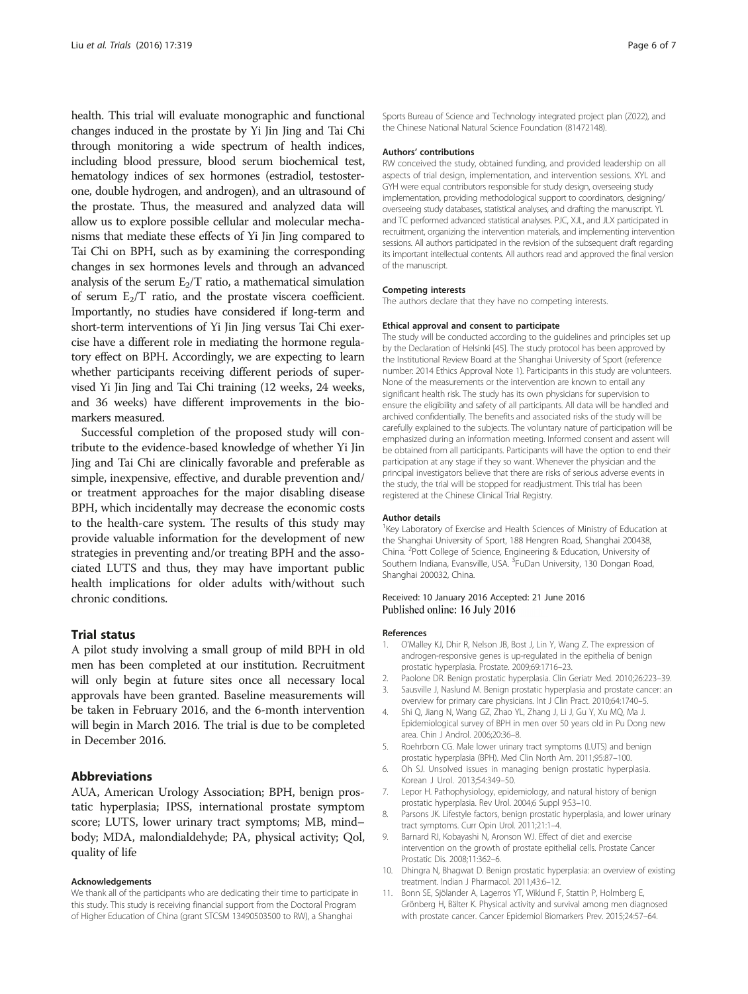<span id="page-5-0"></span>health. This trial will evaluate monographic and functional changes induced in the prostate by Yi Jin Jing and Tai Chi through monitoring a wide spectrum of health indices, including blood pressure, blood serum biochemical test, hematology indices of sex hormones (estradiol, testosterone, double hydrogen, and androgen), and an ultrasound of the prostate. Thus, the measured and analyzed data will allow us to explore possible cellular and molecular mechanisms that mediate these effects of Yi Jin Jing compared to Tai Chi on BPH, such as by examining the corresponding changes in sex hormones levels and through an advanced analysis of the serum  $E_2/T$  ratio, a mathematical simulation of serum  $E_2/T$  ratio, and the prostate viscera coefficient. Importantly, no studies have considered if long-term and short-term interventions of Yi Jin Jing versus Tai Chi exercise have a different role in mediating the hormone regulatory effect on BPH. Accordingly, we are expecting to learn whether participants receiving different periods of supervised Yi Jin Jing and Tai Chi training (12 weeks, 24 weeks, and 36 weeks) have different improvements in the biomarkers measured.

Successful completion of the proposed study will contribute to the evidence-based knowledge of whether Yi Jin Jing and Tai Chi are clinically favorable and preferable as simple, inexpensive, effective, and durable prevention and/ or treatment approaches for the major disabling disease BPH, which incidentally may decrease the economic costs to the health-care system. The results of this study may provide valuable information for the development of new strategies in preventing and/or treating BPH and the associated LUTS and thus, they may have important public health implications for older adults with/without such chronic conditions.

## Trial status

A pilot study involving a small group of mild BPH in old men has been completed at our institution. Recruitment will only begin at future sites once all necessary local approvals have been granted. Baseline measurements will be taken in February 2016, and the 6-month intervention will begin in March 2016. The trial is due to be completed in December 2016.

## Abbreviations

AUA, American Urology Association; BPH, benign prostatic hyperplasia; IPSS, international prostate symptom score; LUTS, lower urinary tract symptoms; MB, mind– body; MDA, malondialdehyde; PA, physical activity; Qol, quality of life

#### Acknowledgements

We thank all of the participants who are dedicating their time to participate in this study. This study is receiving financial support from the Doctoral Program of Higher Education of China (grant STCSM 13490503500 to RW), a Shanghai

Sports Bureau of Science and Technology integrated project plan (Z022), and the Chinese National Natural Science Foundation (81472148).

#### Authors' contributions

RW conceived the study, obtained funding, and provided leadership on all aspects of trial design, implementation, and intervention sessions. XYL and GYH were equal contributors responsible for study design, overseeing study implementation, providing methodological support to coordinators, designing/ overseeing study databases, statistical analyses, and drafting the manuscript. YL and TC performed advanced statistical analyses. PJC, XJL, and JLX participated in recruitment, organizing the intervention materials, and implementing intervention sessions. All authors participated in the revision of the subsequent draft regarding its important intellectual contents. All authors read and approved the final version of the manuscript.

### Competing interests

The authors declare that they have no competing interests.

#### Ethical approval and consent to participate

The study will be conducted according to the guidelines and principles set up by the Declaration of Helsinki [\[45](#page-6-0)]. The study protocol has been approved by the Institutional Review Board at the Shanghai University of Sport (reference number: 2014 Ethics Approval Note 1). Participants in this study are volunteers. None of the measurements or the intervention are known to entail any significant health risk. The study has its own physicians for supervision to ensure the eligibility and safety of all participants. All data will be handled and archived confidentially. The benefits and associated risks of the study will be carefully explained to the subjects. The voluntary nature of participation will be emphasized during an information meeting. Informed consent and assent will be obtained from all participants. Participants will have the option to end their participation at any stage if they so want. Whenever the physician and the principal investigators believe that there are risks of serious adverse events in the study, the trial will be stopped for readjustment. This trial has been registered at the Chinese Clinical Trial Registry.

#### Author details

<sup>1</sup> Key Laboratory of Exercise and Health Sciences of Ministry of Education at the Shanghai University of Sport, 188 Hengren Road, Shanghai 200438, China. <sup>2</sup> Pott College of Science, Engineering & Education, University of Southern Indiana, Evansville, USA. <sup>3</sup>FuDan University, 130 Dongan Road, Shanghai 200032, China.

## Received: 10 January 2016 Accepted: 21 June 2016 Published online: 16 July 2016

#### References

- 1. O'Malley KJ, Dhir R, Nelson JB, Bost J, Lin Y, Wang Z. The expression of androgen-responsive genes is up-regulated in the epithelia of benign prostatic hyperplasia. Prostate. 2009;69:1716–23.
- 2. Paolone DR. Benign prostatic hyperplasia. Clin Geriatr Med. 2010;26:223–39. 3. Sausville J, Naslund M. Benign prostatic hyperplasia and prostate cancer: an
- overview for primary care physicians. Int J Clin Pract. 2010;64:1740–5.
- 4. Shi Q, Jiang N, Wang GZ, Zhao YL, Zhang J, Li J, Gu Y, Xu MQ, Ma J. Epidemiological survey of BPH in men over 50 years old in Pu Dong new area. Chin J Androl. 2006;20:36–8.
- 5. Roehrborn CG. Male lower urinary tract symptoms (LUTS) and benign prostatic hyperplasia (BPH). Med Clin North Am. 2011;95:87–100.
- 6. Oh SJ. Unsolved issues in managing benign prostatic hyperplasia. Korean J Urol. 2013;54:349–50.
- 7. Lepor H. Pathophysiology, epidemiology, and natural history of benign prostatic hyperplasia. Rev Urol. 2004;6 Suppl 9:S3–10.
- 8. Parsons JK. Lifestyle factors, benign prostatic hyperplasia, and lower urinary tract symptoms. Curr Opin Urol. 2011;21:1–4.
- 9. Barnard RJ, Kobayashi N, Aronson WJ. Effect of diet and exercise intervention on the growth of prostate epithelial cells. Prostate Cancer Prostatic Dis. 2008;11:362–6.
- 10. Dhingra N, Bhagwat D. Benign prostatic hyperplasia: an overview of existing treatment. Indian J Pharmacol. 2011;43:6–12.
- 11. Bonn SE, Sjölander A, Lagerros YT, Wiklund F, Stattin P, Holmberg E, Grönberg H, Bälter K. Physical activity and survival among men diagnosed with prostate cancer. Cancer Epidemiol Biomarkers Prev. 2015;24:57–64.